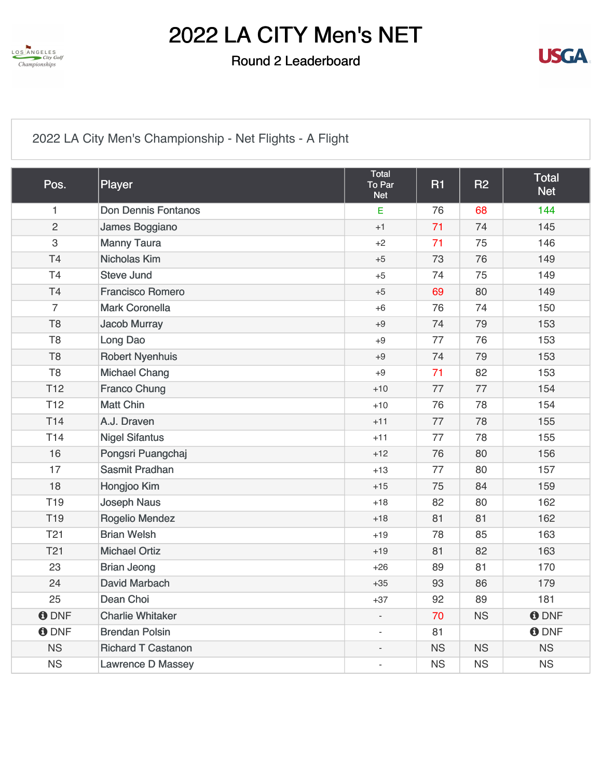

### Round 2 Leaderboard



## [2022 LA City Men's Championship - Net Flights - A Flight](https://static.golfgenius.com/v2tournaments/8483092948030860755?called_from=&round_index=2)

| Pos.            | Player                     | <b>Total</b><br>To Par<br><b>Net</b> | <b>R1</b> | R2        | <b>Total</b><br><b>Net</b> |
|-----------------|----------------------------|--------------------------------------|-----------|-----------|----------------------------|
| $\mathbf{1}$    | <b>Don Dennis Fontanos</b> | E                                    | 76        | 68        | 144                        |
| $\overline{2}$  | James Boggiano             | $+1$                                 | 71        | 74        | 145                        |
| 3               | <b>Manny Taura</b>         | $+2$                                 | 71        | 75        | 146                        |
| T4              | <b>Nicholas Kim</b>        | $+5$                                 | 73        | 76        | 149                        |
| <b>T4</b>       | <b>Steve Jund</b>          | $+5$                                 | 74        | 75        | 149                        |
| T <sub>4</sub>  | <b>Francisco Romero</b>    | $+5$                                 | 69        | 80        | 149                        |
| $\overline{7}$  | <b>Mark Coronella</b>      | $+6$                                 | 76        | 74        | 150                        |
| T <sub>8</sub>  | <b>Jacob Murray</b>        | $+9$                                 | 74        | 79        | 153                        |
| T <sub>8</sub>  | Long Dao                   | $+9$                                 | 77        | 76        | 153                        |
| T <sub>8</sub>  | <b>Robert Nyenhuis</b>     | $+9$                                 | 74        | 79        | 153                        |
| T <sub>8</sub>  | <b>Michael Chang</b>       | $+9$                                 | 71        | 82        | 153                        |
| <b>T12</b>      | <b>Franco Chung</b>        | $+10$                                | 77        | 77        | 154                        |
| <b>T12</b>      | <b>Matt Chin</b>           | $+10$                                | 76        | 78        | 154                        |
| <b>T14</b>      | A.J. Draven                | $+11$                                | 77        | 78        | 155                        |
| <b>T14</b>      | <b>Nigel Sifantus</b>      | $+11$                                | 77        | 78        | 155                        |
| 16              | Pongsri Puangchaj          | $+12$                                | 76        | 80        | 156                        |
| 17              | Sasmit Pradhan             | $+13$                                | 77        | 80        | 157                        |
| 18              | Hongjoo Kim                | $+15$                                | 75        | 84        | 159                        |
| T <sub>19</sub> | <b>Joseph Naus</b>         | $+18$                                | 82        | 80        | 162                        |
| T <sub>19</sub> | <b>Rogelio Mendez</b>      | $+18$                                | 81        | 81        | 162                        |
| <b>T21</b>      | <b>Brian Welsh</b>         | $+19$                                | 78        | 85        | 163                        |
| <b>T21</b>      | <b>Michael Ortiz</b>       | $+19$                                | 81        | 82        | 163                        |
| 23              | <b>Brian Jeong</b>         | $+26$                                | 89        | 81        | 170                        |
| 24              | David Marbach              | $+35$                                | 93        | 86        | 179                        |
| 25              | Dean Choi                  | $+37$                                | 92        | 89        | 181                        |
| <b>O</b> DNF    | <b>Charlie Whitaker</b>    | $\overline{\phantom{a}}$             | 70        | <b>NS</b> | <b>ODNF</b>                |
| <b>O</b> DNF    | <b>Brendan Polsin</b>      |                                      | 81        |           | <b>O</b> DNF               |
| <b>NS</b>       | <b>Richard T Castanon</b>  | $\overline{a}$                       | <b>NS</b> | <b>NS</b> | <b>NS</b>                  |
| <b>NS</b>       | <b>Lawrence D Massey</b>   | $\overline{\phantom{a}}$             | <b>NS</b> | <b>NS</b> | <b>NS</b>                  |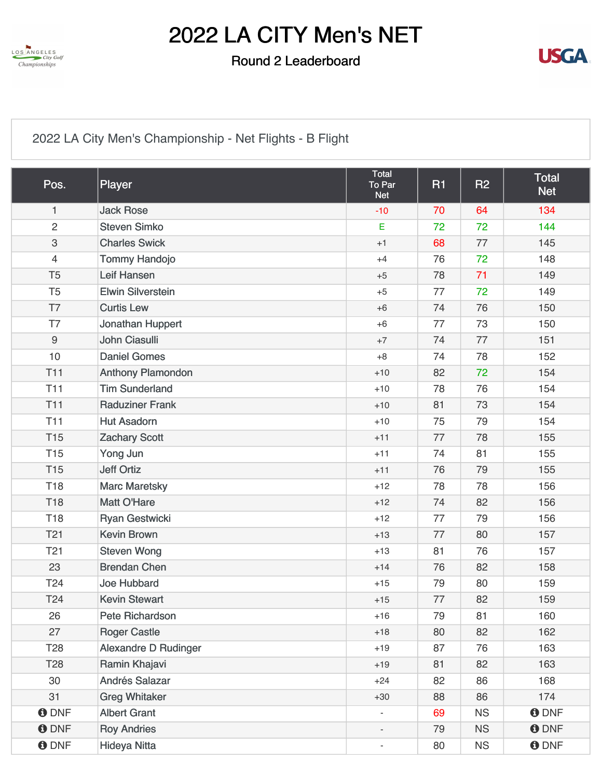

### Round 2 Leaderboard



## [2022 LA City Men's Championship - Net Flights - B Flight](https://static.golfgenius.com/v2tournaments/8483092974371089884?called_from=&round_index=2)

| Pos.            | Player                      | Total<br>To Par<br><b>Net</b> | R1 | <b>R2</b> | <b>Total</b><br><b>Net</b> |
|-----------------|-----------------------------|-------------------------------|----|-----------|----------------------------|
| $\mathbf{1}$    | <b>Jack Rose</b>            | $-10$                         | 70 | 64        | 134                        |
| $\overline{2}$  | <b>Steven Simko</b>         | $\mathsf E$                   | 72 | 72        | 144                        |
| $\,3$           | <b>Charles Swick</b>        | $+1$                          | 68 | 77        | 145                        |
| $\overline{4}$  | <b>Tommy Handojo</b>        | $+4$                          | 76 | 72        | 148                        |
| T <sub>5</sub>  | Leif Hansen                 | $+5$                          | 78 | 71        | 149                        |
| T <sub>5</sub>  | <b>Elwin Silverstein</b>    | $+5$                          | 77 | 72        | 149                        |
| T7              | <b>Curtis Lew</b>           | $+6$                          | 74 | 76        | 150                        |
| T7              | Jonathan Huppert            | $+6$                          | 77 | 73        | 150                        |
| 9               | John Ciasulli               | $+7$                          | 74 | 77        | 151                        |
| 10              | <b>Daniel Gomes</b>         | $+8$                          | 74 | 78        | 152                        |
| <b>T11</b>      | <b>Anthony Plamondon</b>    | $+10$                         | 82 | 72        | 154                        |
| T11             | <b>Tim Sunderland</b>       | $+10$                         | 78 | 76        | 154                        |
| <b>T11</b>      | <b>Raduziner Frank</b>      | $+10$                         | 81 | 73        | 154                        |
| <b>T11</b>      | <b>Hut Asadorn</b>          | $+10$                         | 75 | 79        | 154                        |
| <b>T15</b>      | <b>Zachary Scott</b>        | $+11$                         | 77 | 78        | 155                        |
| <b>T15</b>      | Yong Jun                    | $+11$                         | 74 | 81        | 155                        |
| <b>T15</b>      | <b>Jeff Ortiz</b>           | $+11$                         | 76 | 79        | 155                        |
| <b>T18</b>      | <b>Marc Maretsky</b>        | $+12$                         | 78 | 78        | 156                        |
| <b>T18</b>      | <b>Matt O'Hare</b>          | $+12$                         | 74 | 82        | 156                        |
| <b>T18</b>      | <b>Ryan Gestwicki</b>       | $+12$                         | 77 | 79        | 156                        |
| <b>T21</b>      | <b>Kevin Brown</b>          | $+13$                         | 77 | 80        | 157                        |
| T <sub>21</sub> | <b>Steven Wong</b>          | $+13$                         | 81 | 76        | 157                        |
| 23              | <b>Brendan Chen</b>         | $+14$                         | 76 | 82        | 158                        |
| T24             | <b>Joe Hubbard</b>          | $+15$                         | 79 | 80        | 159                        |
| T24             | <b>Kevin Stewart</b>        | $+15$                         | 77 | 82        | 159                        |
| 26              | Pete Richardson             | $+16$                         | 79 | 81        | 160                        |
| 27              | <b>Roger Castle</b>         | $+18$                         | 80 | 82        | 162                        |
| T <sub>28</sub> | <b>Alexandre D Rudinger</b> | $+19$                         | 87 | 76        | 163                        |
| <b>T28</b>      | Ramin Khajavi               | $+19$                         | 81 | 82        | 163                        |
| 30              | Andrés Salazar              | $+24$                         | 82 | 86        | 168                        |
| 31              | <b>Greg Whitaker</b>        | $+30$                         | 88 | 86        | 174                        |
| <b>ODNF</b>     | <b>Albert Grant</b>         |                               | 69 | <b>NS</b> | <b>ODNF</b>                |
| <b>ODNF</b>     | <b>Roy Andries</b>          |                               | 79 | <b>NS</b> | <b>ODNF</b>                |
| <b>ODNF</b>     | <b>Hideya Nitta</b>         | ۰.                            | 80 | <b>NS</b> | <b>ODNF</b>                |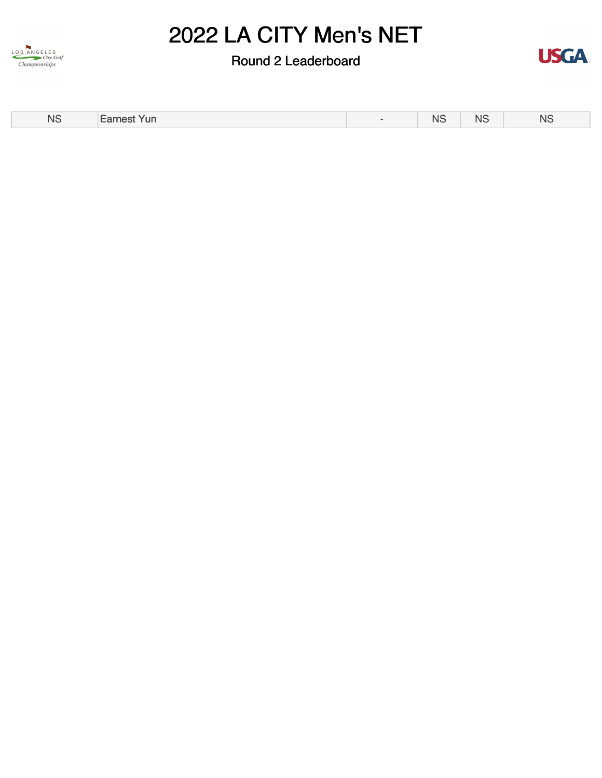

Round 2 Leaderboard



| <b>NS</b> | Earnest Yun | <b>NS</b><br>___ | .<br>NS.<br>____ | <b>NS</b> |
|-----------|-------------|------------------|------------------|-----------|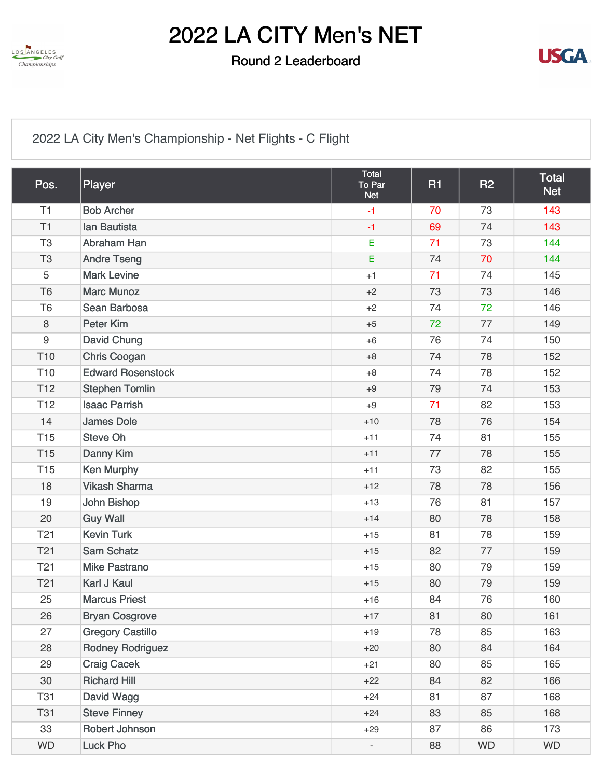

### Round 2 Leaderboard



## [2022 LA City Men's Championship - Net Flights - C Flight](https://static.golfgenius.com/v2tournaments/8483092963834998233?called_from=&round_index=2)

| Pos.             | Player                   | Total<br>To Par<br><b>Net</b> | <b>R1</b> | <b>R2</b> | <b>Total</b><br><b>Net</b> |
|------------------|--------------------------|-------------------------------|-----------|-----------|----------------------------|
| T1               | <b>Bob Archer</b>        | $-1$                          | 70        | 73        | 143                        |
| T1               | <b>lan Bautista</b>      | $-1$                          | 69        | 74        | 143                        |
| T <sub>3</sub>   | Abraham Han              | E                             | 71        | 73        | 144                        |
| T <sub>3</sub>   | <b>Andre Tseng</b>       | E                             | 74        | 70        | 144                        |
| 5                | <b>Mark Levine</b>       | $+1$                          | 71        | 74        | 145                        |
| T <sub>6</sub>   | <b>Marc Munoz</b>        | $+2$                          | 73        | 73        | 146                        |
| T <sub>6</sub>   | Sean Barbosa             | $+2$                          | 74        | 72        | 146                        |
| 8                | <b>Peter Kim</b>         | $+5$                          | 72        | 77        | 149                        |
| $\boldsymbol{9}$ | <b>David Chung</b>       | $+6$                          | 76        | 74        | 150                        |
| T <sub>10</sub>  | <b>Chris Coogan</b>      | $+8$                          | 74        | 78        | 152                        |
| T <sub>10</sub>  | <b>Edward Rosenstock</b> | $+8$                          | 74        | 78        | 152                        |
| T <sub>12</sub>  | <b>Stephen Tomlin</b>    | $+9$                          | 79        | 74        | 153                        |
| T <sub>12</sub>  | <b>Isaac Parrish</b>     | $+9$                          | 71        | 82        | 153                        |
| 14               | <b>James Dole</b>        | $+10$                         | 78        | 76        | 154                        |
| <b>T15</b>       | <b>Steve Oh</b>          | $+11$                         | 74        | 81        | 155                        |
| <b>T15</b>       | Danny Kim                | $+11$                         | 77        | 78        | 155                        |
| <b>T15</b>       | <b>Ken Murphy</b>        | $+11$                         | 73        | 82        | 155                        |
| 18               | <b>Vikash Sharma</b>     | $+12$                         | 78        | 78        | 156                        |
| 19               | John Bishop              | $+13$                         | 76        | 81        | 157                        |
| 20               | <b>Guy Wall</b>          | $+14$                         | 80        | 78        | 158                        |
| T21              | <b>Kevin Turk</b>        | $+15$                         | 81        | 78        | 159                        |
| T <sub>21</sub>  | <b>Sam Schatz</b>        | $+15$                         | 82        | 77        | 159                        |
| T <sub>21</sub>  | <b>Mike Pastrano</b>     | $+15$                         | 80        | 79        | 159                        |
| T <sub>21</sub>  | <b>Karl J Kaul</b>       | $+15$                         | 80        | 79        | 159                        |
| 25               | <b>Marcus Priest</b>     | $+16$                         | 84        | 76        | 160                        |
| 26               | <b>Bryan Cosgrove</b>    | $+17$                         | 81        | 80        | 161                        |
| 27               | <b>Gregory Castillo</b>  | $+19$                         | 78        | 85        | 163                        |
| 28               | <b>Rodney Rodriguez</b>  | $+20$                         | 80        | 84        | 164                        |
| 29               | <b>Craig Cacek</b>       | $+21$                         | 80        | 85        | 165                        |
| 30               | <b>Richard Hill</b>      | $+22$                         | 84        | 82        | 166                        |
| <b>T31</b>       | David Wagg               | $+24$                         | 81        | 87        | 168                        |
| <b>T31</b>       | <b>Steve Finney</b>      | $+24$                         | 83        | 85        | 168                        |
| 33               | Robert Johnson           | $+29$                         | 87        | 86        | 173                        |
| <b>WD</b>        | <b>Luck Pho</b>          | $\overline{\phantom{a}}$      | 88        | <b>WD</b> | <b>WD</b>                  |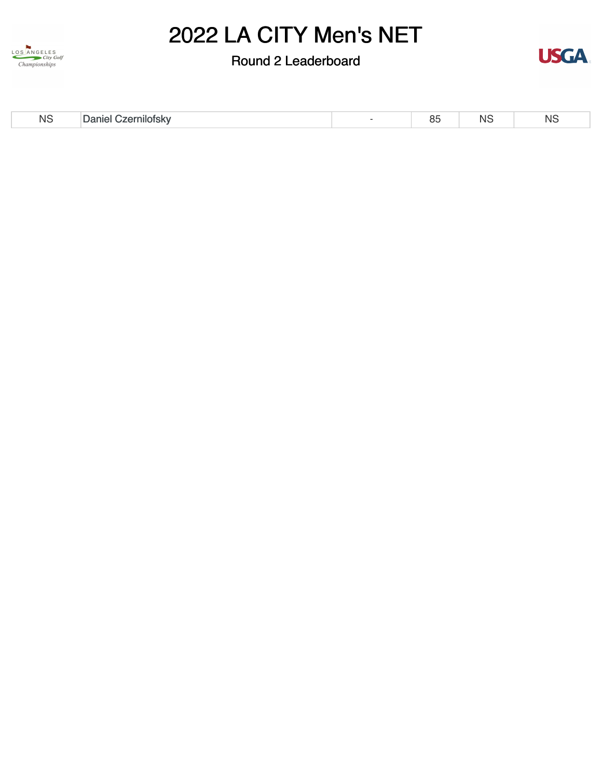

Round 2 Leaderboard



| <b>NS</b> | Daniel (<br>Czernilotsky | UU | N. | <b>NS</b> |
|-----------|--------------------------|----|----|-----------|
|           |                          |    |    |           |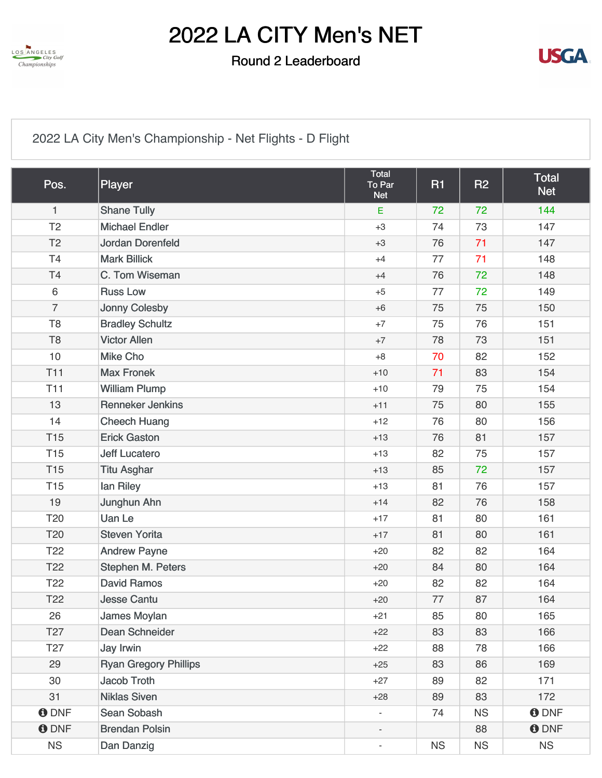

### Round 2 Leaderboard



[2022 LA City Men's Championship - Net Flights - D Flight](https://static.golfgenius.com/v2tournaments/8483092955882597846?called_from=&round_index=2)

| Pos.            | Player                       | Total<br>To Par<br><b>Net</b> | <b>R1</b> | <b>R2</b> | <b>Total</b><br><b>Net</b> |
|-----------------|------------------------------|-------------------------------|-----------|-----------|----------------------------|
| $\mathbf{1}$    | <b>Shane Tully</b>           | $\mathsf E$                   | 72        | 72        | 144                        |
| T <sub>2</sub>  | <b>Michael Endler</b>        | $+3$                          | 74        | 73        | 147                        |
| T <sub>2</sub>  | Jordan Dorenfeld             | $+3$                          | 76        | 71        | 147                        |
| T4              | <b>Mark Billick</b>          | $+4$                          | 77        | 71        | 148                        |
| T4              | C. Tom Wiseman               | $+4$                          | 76        | 72        | 148                        |
| $6\,$           | <b>Russ Low</b>              | $+5$                          | 77        | 72        | 149                        |
| $\overline{7}$  | Jonny Colesby                | $+6$                          | 75        | 75        | 150                        |
| T <sub>8</sub>  | <b>Bradley Schultz</b>       | $+7$                          | 75        | 76        | 151                        |
| T <sub>8</sub>  | <b>Victor Allen</b>          | $+7$                          | 78        | 73        | 151                        |
| 10              | <b>Mike Cho</b>              | $+8$                          | 70        | 82        | 152                        |
| <b>T11</b>      | <b>Max Fronek</b>            | $+10$                         | 71        | 83        | 154                        |
| <b>T11</b>      | <b>William Plump</b>         | $+10$                         | 79        | 75        | 154                        |
| 13              | <b>Renneker Jenkins</b>      | $+11$                         | 75        | 80        | 155                        |
| 14              | <b>Cheech Huang</b>          | $+12$                         | 76        | 80        | 156                        |
| <b>T15</b>      | <b>Erick Gaston</b>          | $+13$                         | 76        | 81        | 157                        |
| <b>T15</b>      | <b>Jeff Lucatero</b>         | $+13$                         | 82        | 75        | 157                        |
| <b>T15</b>      | <b>Titu Asghar</b>           | $+13$                         | 85        | 72        | 157                        |
| <b>T15</b>      | lan Riley                    | $+13$                         | 81        | 76        | 157                        |
| 19              | Junghun Ahn                  | $+14$                         | 82        | 76        | 158                        |
| T <sub>20</sub> | <b>Uan Le</b>                | $+17$                         | 81        | 80        | 161                        |
| T20             | <b>Steven Yorita</b>         | $+17$                         | 81        | 80        | 161                        |
| T <sub>22</sub> | <b>Andrew Payne</b>          | $+20$                         | 82        | 82        | 164                        |
| T <sub>22</sub> | Stephen M. Peters            | $+20$                         | 84        | 80        | 164                        |
| T <sub>22</sub> | <b>David Ramos</b>           | $+20$                         | 82        | 82        | 164                        |
| T <sub>22</sub> | <b>Jesse Cantu</b>           | $+20$                         | 77        | 87        | 164                        |
| 26              | James Moylan                 | $+21$                         | 85        | 80        | 165                        |
| T <sub>27</sub> | Dean Schneider               | $+22$                         | 83        | 83        | 166                        |
| T <sub>27</sub> | Jay Irwin                    | $+22$                         | 88        | 78        | 166                        |
| 29              | <b>Ryan Gregory Phillips</b> | $+25$                         | 83        | 86        | 169                        |
| 30              | Jacob Troth                  | $+27$                         | 89        | 82        | 171                        |
| 31              | <b>Niklas Siven</b>          | $+28$                         | 89        | 83        | 172                        |
| <b>O</b> DNF    | Sean Sobash                  |                               | 74        | <b>NS</b> | <b>ODNF</b>                |
| <b>O</b> DNF    | <b>Brendan Polsin</b>        |                               |           | 88        | <b>ODNF</b>                |
| NS              | Dan Danzig                   | $\overline{\phantom{a}}$      | <b>NS</b> | <b>NS</b> | <b>NS</b>                  |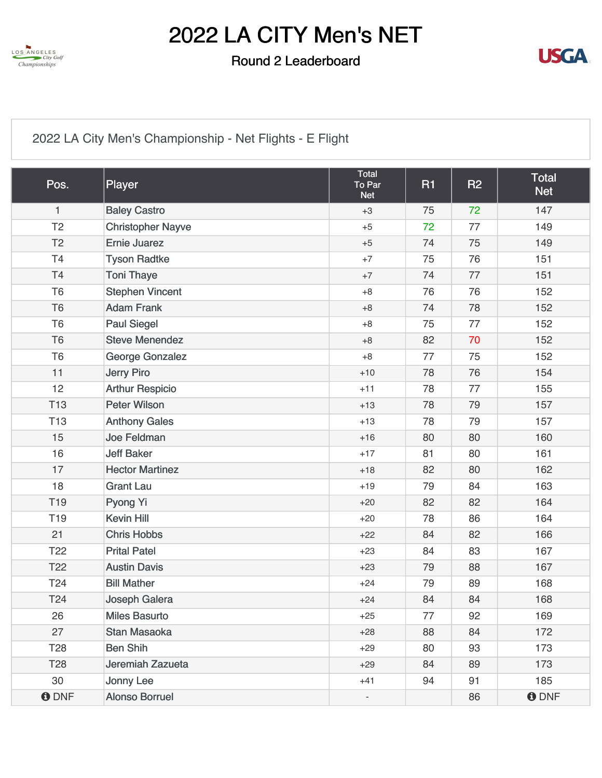

### Round 2 Leaderboard



## [2022 LA City Men's Championship - Net Flights - E Flight](https://static.golfgenius.com/v2tournaments/8483092939877133776?called_from=&round_index=2)

| Pos.            | Player                   | Total<br>To Par<br><b>Net</b> | <b>R1</b> | <b>R2</b> | <b>Total</b><br><b>Net</b> |
|-----------------|--------------------------|-------------------------------|-----------|-----------|----------------------------|
| 1               | <b>Baley Castro</b>      | $+3$                          | 75        | 72        | 147                        |
| T <sub>2</sub>  | <b>Christopher Nayve</b> | $+5$                          | 72        | 77        | 149                        |
| T <sub>2</sub>  | <b>Ernie Juarez</b>      | $+5$                          | 74        | 75        | 149                        |
| T <sub>4</sub>  | <b>Tyson Radtke</b>      | $+7$                          | 75        | 76        | 151                        |
| T <sub>4</sub>  | <b>Toni Thaye</b>        | $+7$                          | 74        | 77        | 151                        |
| T <sub>6</sub>  | <b>Stephen Vincent</b>   | $+8$                          | 76        | 76        | 152                        |
| T <sub>6</sub>  | <b>Adam Frank</b>        | $+8$                          | 74        | 78        | 152                        |
| T <sub>6</sub>  | <b>Paul Siegel</b>       | $+8$                          | 75        | 77        | 152                        |
| T <sub>6</sub>  | <b>Steve Menendez</b>    | $+8$                          | 82        | 70        | 152                        |
| T <sub>6</sub>  | George Gonzalez          | $+8$                          | 77        | 75        | 152                        |
| 11              | <b>Jerry Piro</b>        | $+10$                         | 78        | 76        | 154                        |
| 12              | <b>Arthur Respicio</b>   | $+11$                         | 78        | 77        | 155                        |
| <b>T13</b>      | <b>Peter Wilson</b>      | $+13$                         | 78        | 79        | 157                        |
| T <sub>13</sub> | <b>Anthony Gales</b>     | $+13$                         | 78        | 79        | 157                        |
| 15              | Joe Feldman              | $+16$                         | 80        | 80        | 160                        |
| 16              | <b>Jeff Baker</b>        | $+17$                         | 81        | 80        | 161                        |
| 17              | <b>Hector Martinez</b>   | $+18$                         | 82        | 80        | 162                        |
| 18              | <b>Grant Lau</b>         | $+19$                         | 79        | 84        | 163                        |
| T <sub>19</sub> | Pyong Yi                 | $+20$                         | 82        | 82        | 164                        |
| T <sub>19</sub> | <b>Kevin Hill</b>        | $+20$                         | 78        | 86        | 164                        |
| 21              | <b>Chris Hobbs</b>       | $+22$                         | 84        | 82        | 166                        |
| T <sub>22</sub> | <b>Prital Patel</b>      | $+23$                         | 84        | 83        | 167                        |
| T <sub>22</sub> | <b>Austin Davis</b>      | $+23$                         | 79        | 88        | 167                        |
| T24             | <b>Bill Mather</b>       | $+24$                         | 79        | 89        | 168                        |
| T24             | Joseph Galera            | $+24$                         | 84        | 84        | 168                        |
| 26              | <b>Miles Basurto</b>     | $+25$                         | 77        | 92        | 169                        |
| 27              | Stan Masaoka             | $+28$                         | 88        | 84        | 172                        |
| T <sub>28</sub> | <b>Ben Shih</b>          | $+29$                         | 80        | 93        | 173                        |
| T <sub>28</sub> | Jeremiah Zazueta         | $+29$                         | 84        | 89        | 173                        |
| 30              | Jonny Lee                | $+41$                         | 94        | 91        | 185                        |
| <b>ODNF</b>     | <b>Alonso Borruel</b>    |                               |           | 86        | <b>ODNF</b>                |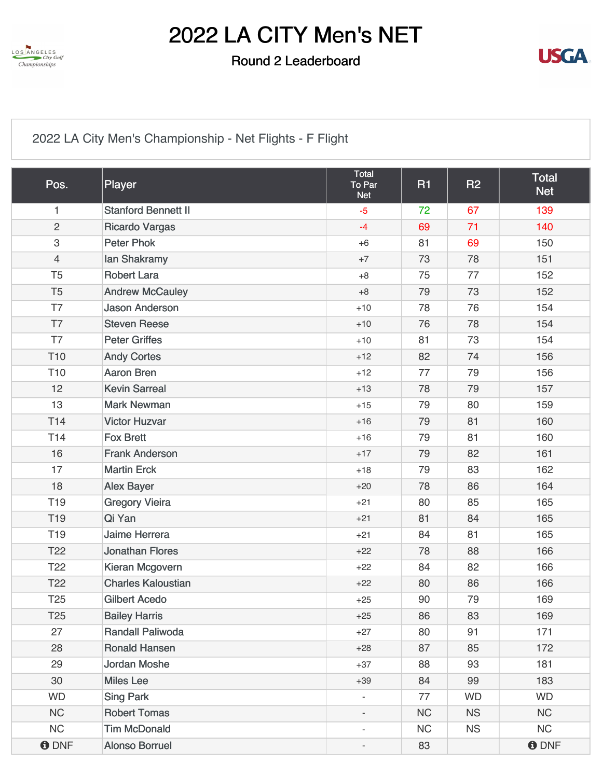

### Round 2 Leaderboard



[2022 LA City Men's Championship - Net Flights - F Flight](https://static.golfgenius.com/v2tournaments/8576479376135171156?called_from=&round_index=2)

| Pos.            | Player                     | Total<br>To Par<br><b>Net</b> | <b>R1</b> | <b>R2</b> | <b>Total</b><br><b>Net</b> |
|-----------------|----------------------------|-------------------------------|-----------|-----------|----------------------------|
| 1               | <b>Stanford Bennett II</b> | $-5$                          | 72        | 67        | 139                        |
| $\overline{2}$  | <b>Ricardo Vargas</b>      | $-4$                          | 69        | 71        | 140                        |
| $\,3$           | <b>Peter Phok</b>          | $+6$                          | 81        | 69        | 150                        |
| $\overline{4}$  | lan Shakramy               | $+7$                          | 73        | 78        | 151                        |
| T <sub>5</sub>  | <b>Robert Lara</b>         | $+8$                          | 75        | 77        | 152                        |
| T <sub>5</sub>  | <b>Andrew McCauley</b>     | $+8$                          | 79        | 73        | 152                        |
| T7              | <b>Jason Anderson</b>      | $+10$                         | 78        | 76        | 154                        |
| T7              | <b>Steven Reese</b>        | $+10$                         | 76        | 78        | 154                        |
| T7              | <b>Peter Griffes</b>       | $+10$                         | 81        | 73        | 154                        |
| T <sub>10</sub> | <b>Andy Cortes</b>         | $+12$                         | 82        | 74        | 156                        |
| T <sub>10</sub> | <b>Aaron Bren</b>          | $+12$                         | 77        | 79        | 156                        |
| 12              | <b>Kevin Sarreal</b>       | $+13$                         | 78        | 79        | 157                        |
| 13              | <b>Mark Newman</b>         | $+15$                         | 79        | 80        | 159                        |
| T <sub>14</sub> | <b>Victor Huzvar</b>       | $+16$                         | 79        | 81        | 160                        |
| T <sub>14</sub> | <b>Fox Brett</b>           | $+16$                         | 79        | 81        | 160                        |
| 16              | <b>Frank Anderson</b>      | $+17$                         | 79        | 82        | 161                        |
| 17              | <b>Martin Erck</b>         | $+18$                         | 79        | 83        | 162                        |
| 18              | <b>Alex Bayer</b>          | $+20$                         | 78        | 86        | 164                        |
| T <sub>19</sub> | <b>Gregory Vieira</b>      | $+21$                         | 80        | 85        | 165                        |
| T <sub>19</sub> | Qi Yan                     | $+21$                         | 81        | 84        | 165                        |
| T <sub>19</sub> | Jaime Herrera              | $+21$                         | 84        | 81        | 165                        |
| T <sub>22</sub> | <b>Jonathan Flores</b>     | $+22$                         | 78        | 88        | 166                        |
| T <sub>22</sub> | Kieran Mcgovern            | $+22$                         | 84        | 82        | 166                        |
| T <sub>22</sub> | <b>Charles Kaloustian</b>  | $+22$                         | 80        | 86        | 166                        |
| T <sub>25</sub> | <b>Gilbert Acedo</b>       | $+25$                         | 90        | 79        | 169                        |
| T <sub>25</sub> | <b>Bailey Harris</b>       | $+25$                         | 86        | 83        | 169                        |
| 27              | <b>Randall Paliwoda</b>    | $+27$                         | 80        | 91        | 171                        |
| 28              | <b>Ronald Hansen</b>       | $+28$                         | 87        | 85        | 172                        |
| 29              | <b>Jordan Moshe</b>        | $+37$                         | 88        | 93        | 181                        |
| 30              | <b>Miles Lee</b>           | $+39$                         | 84        | 99        | 183                        |
| <b>WD</b>       | <b>Sing Park</b>           | $\overline{\phantom{a}}$      | 77        | <b>WD</b> | <b>WD</b>                  |
| NC              | <b>Robert Tomas</b>        |                               | NC        | <b>NS</b> | <b>NC</b>                  |
| NC              | <b>Tim McDonald</b>        | ä,                            | NC        | <b>NS</b> | NC                         |
| <b>ODNF</b>     | <b>Alonso Borruel</b>      | $\overline{\phantom{m}}$      | 83        |           | <b>O</b> DNF               |